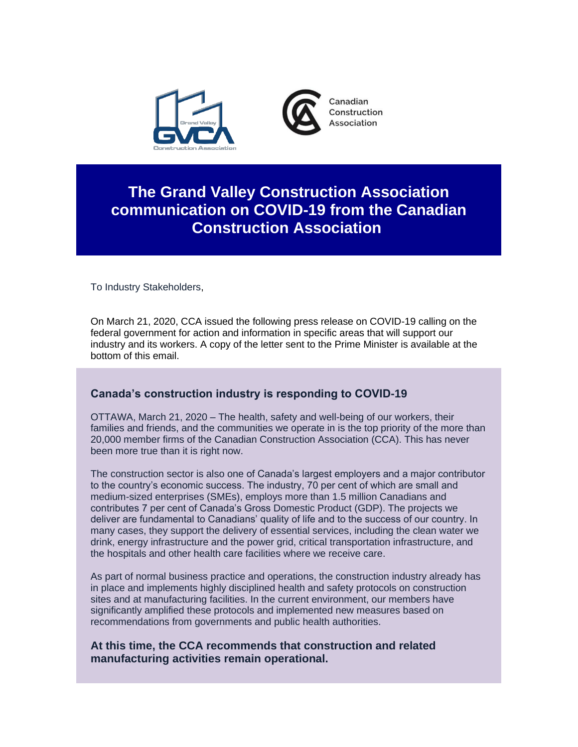

## **The Grand Valley Construction Association communication on COVID-19 from the Canadian Construction Association**

To Industry Stakeholders,

On March 21, 2020, CCA issued the following press release on COVID-19 calling on the federal government for action and information in specific areas that will support our industry and its workers. A copy of the letter sent to the Prime Minister is available at the bottom of this email.

## **Canada's construction industry is responding to COVID-19**

OTTAWA, March 21, 2020 – The health, safety and well-being of our workers, their families and friends, and the communities we operate in is the top priority of the more than 20,000 member firms of the Canadian Construction Association (CCA). This has never been more true than it is right now.

The construction sector is also one of Canada's largest employers and a major contributor to the country's economic success. The industry, 70 per cent of which are small and medium-sized enterprises (SMEs), employs more than 1.5 million Canadians and contributes 7 per cent of Canada's Gross Domestic Product (GDP). The projects we deliver are fundamental to Canadians' quality of life and to the success of our country. In many cases, they support the delivery of essential services, including the clean water we drink, energy infrastructure and the power grid, critical transportation infrastructure, and the hospitals and other health care facilities where we receive care.

As part of normal business practice and operations, the construction industry already has in place and implements highly disciplined health and safety protocols on construction sites and at manufacturing facilities. In the current environment, our members have significantly amplified these protocols and implemented new measures based on recommendations from governments and public health authorities.

## **At this time, the CCA recommends that construction and related manufacturing activities remain operational.**